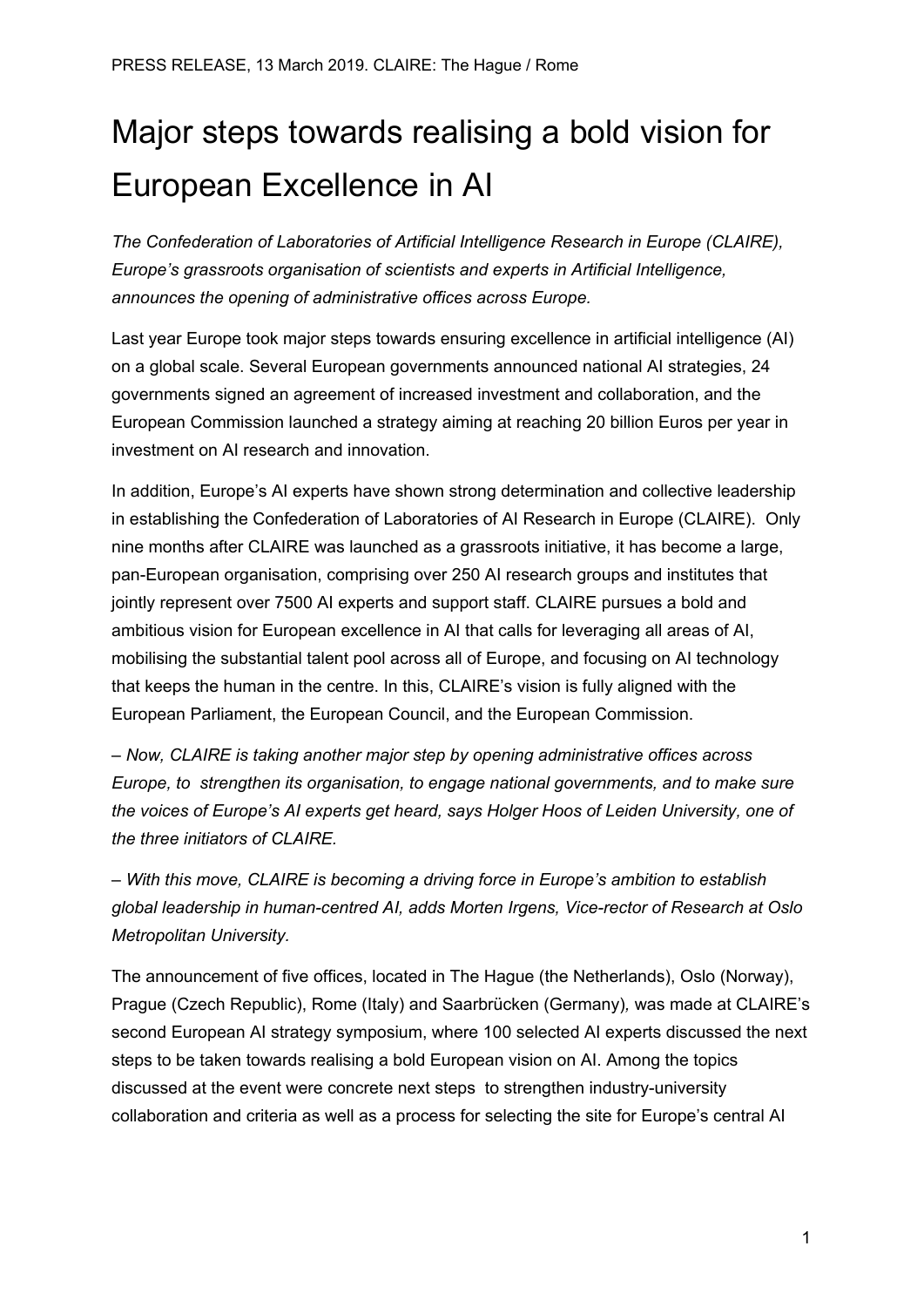## Major steps towards realising a bold vision for European Excellence in AI

*The Confederation of Laboratories of Artificial Intelligence Research in Europe (CLAIRE), Europe's grassroots organisation of scientists and experts in Artificial Intelligence, announces the opening of administrative offices across Europe.*

Last year Europe took major steps towards ensuring excellence in artificial intelligence (AI) on a global scale. Several European governments announced national AI strategies, 24 governments signed an agreement of increased investment and collaboration, and the European Commission launched a strategy aiming at reaching 20 billion Euros per year in investment on AI research and innovation.

In addition, Europe's AI experts have shown strong determination and collective leadership in establishing the Confederation of Laboratories of AI Research in Europe (CLAIRE). Only nine months after CLAIRE was launched as a grassroots initiative, it has become a large, pan-European organisation, comprising over 250 AI research groups and institutes that jointly represent over 7500 AI experts and support staff. CLAIRE pursues a bold and ambitious vision for European excellence in AI that calls for leveraging all areas of AI, mobilising the substantial talent pool across all of Europe, and focusing on AI technology that keeps the human in the centre. In this, CLAIRE's vision is fully aligned with the European Parliament, the European Council, and the European Commission.

*– Now, CLAIRE is taking another major step by opening administrative offices across Europe, to strengthen its organisation, to engage national governments, and to make sure the voices of Europe's AI experts get heard, says Holger Hoos of Leiden University, one of the three initiators of CLAIRE.*

*– With this move, CLAIRE is becoming a driving force in Europe's ambition to establish global leadership in human-centred AI, adds Morten Irgens, Vice-rector of Research at Oslo Metropolitan University.*

The announcement of five offices, located in The Hague (the Netherlands), Oslo (Norway), Prague (Czech Republic), Rome (Italy) and Saarbrücken (Germany)*,* was made at CLAIRE's second European AI strategy symposium, where 100 selected AI experts discussed the next steps to be taken towards realising a bold European vision on AI. Among the topics discussed at the event were concrete next steps to strengthen industry-university collaboration and criteria as well as a process for selecting the site for Europe's central AI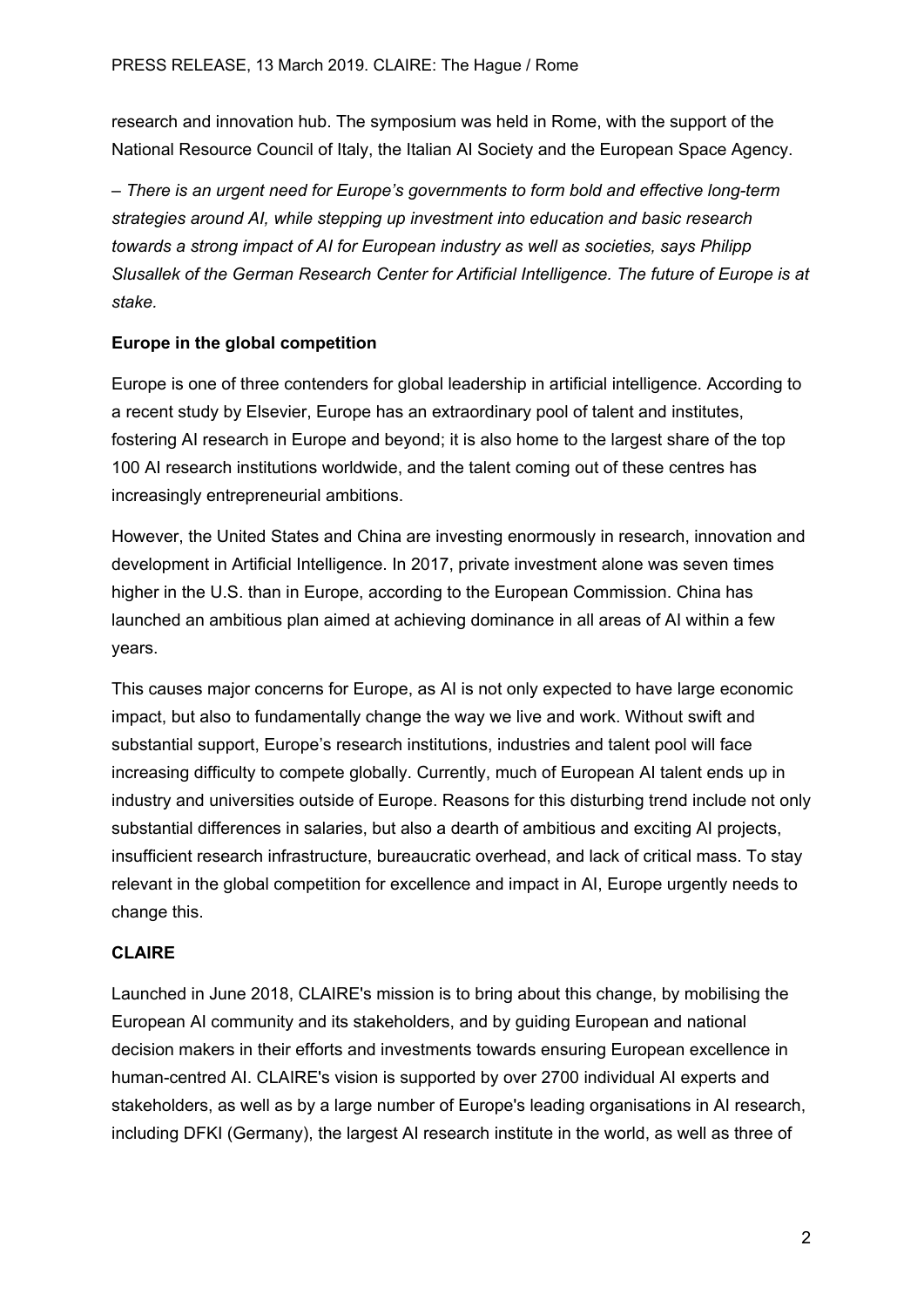research and innovation hub. The symposium was held in Rome, with the support of the National Resource Council of Italy, the Italian AI Society and the European Space Agency.

*– There is an urgent need for Europe's governments to form bold and effective long-term strategies around AI, while stepping up investment into education and basic research towards a strong impact of AI for European industry as well as societies, says Philipp Slusallek of the German Research Center for Artificial Intelligence. The future of Europe is at stake.*

## **Europe in the global competition**

Europe is one of three contenders for global leadership in artificial intelligence. According to a recent study by Elsevier, Europe has an extraordinary pool of talent and institutes, fostering AI research in Europe and beyond; it is also home to the largest share of the top 100 AI research institutions worldwide, and the talent coming out of these centres has increasingly entrepreneurial ambitions.

However, the United States and China are investing enormously in research, innovation and development in Artificial Intelligence. In 2017, private investment alone was seven times higher in the U.S. than in Europe, according to the European Commission. China has launched an ambitious plan aimed at achieving dominance in all areas of AI within a few years.

This causes major concerns for Europe, as AI is not only expected to have large economic impact, but also to fundamentally change the way we live and work. Without swift and substantial support, Europe's research institutions, industries and talent pool will face increasing difficulty to compete globally. Currently, much of European AI talent ends up in industry and universities outside of Europe. Reasons for this disturbing trend include not only substantial differences in salaries, but also a dearth of ambitious and exciting AI projects, insufficient research infrastructure, bureaucratic overhead, and lack of critical mass. To stay relevant in the global competition for excellence and impact in AI, Europe urgently needs to change this.

## **CLAIRE**

Launched in June 2018, CLAIRE's mission is to bring about this change, by mobilising the European AI community and its stakeholders, and by guiding European and national decision makers in their efforts and investments towards ensuring European excellence in human-centred AI. CLAIRE's vision is supported by over 2700 individual AI experts and stakeholders, as well as by a large number of Europe's leading organisations in AI research, including DFKI (Germany), the largest AI research institute in the world, as well as three of